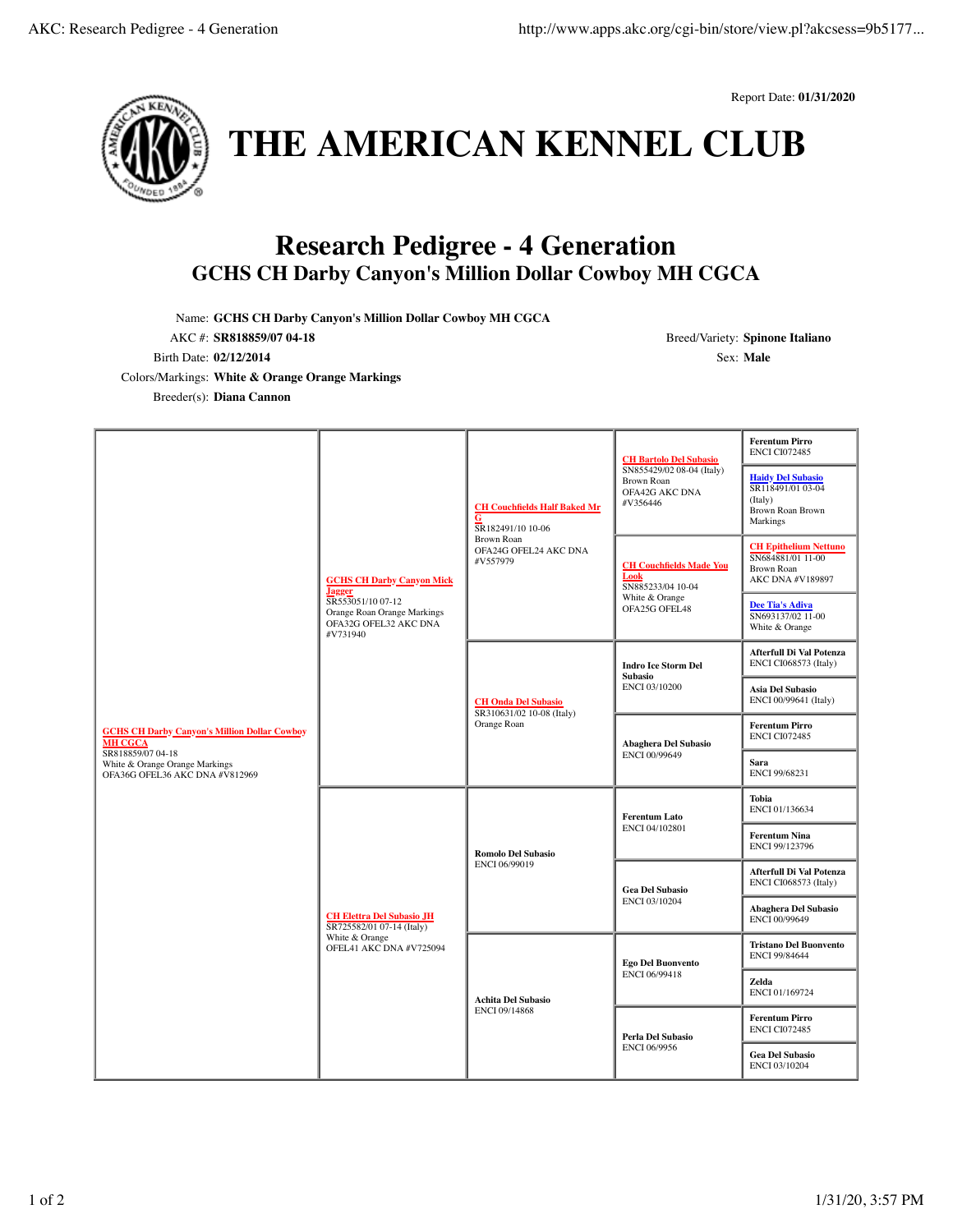



**THE AMERICAN KENNEL CLUB**

## **Research Pedigree - 4 Generation GCHS CH Darby Canyon's Million Dollar Cowboy MH CGCA**

Name: **GCHS CH Darby Canyon's Million Dollar Cowboy MH CGCA**

AKC #: **SR818859/07 04-18** Breed/Variety: **Spinone Italiano** Birth Date: **02/12/2014** Sex: **Male**

Colors/Markings: **White & Orange Orange Markings**

Breeder(s): **Diana Cannon**

| <b>GCHS CH Darby Canyon's Million Dollar Cowboy</b><br><b>MH CGCA</b><br>SR818859/07 04-18<br>White & Orange Orange Markings<br>OFA36G OFEL36 AKC DNA #V812969 | <b>GCHS CH Darby Canyon Mick</b><br><b>Jagger</b><br>SR553051/10 07-12<br>Orange Roan Orange Markings<br>OFA32G OFEL32 AKC DNA<br>#V731940 | <b>CH Couchfields Half Baked Mr</b><br>G<br>SR182491/10 10-06<br>Brown Roan<br>OFA24G OFEL24 AKC DNA<br>#V557979 | <b>CH Bartolo Del Subasio</b><br>SN855429/02 08-04 (Italy)<br>Brown Roan<br>OFA42G AKC DNA<br>#V356446 | <b>Ferentum Pirro</b><br><b>ENCI CI072485</b>                                              |
|----------------------------------------------------------------------------------------------------------------------------------------------------------------|--------------------------------------------------------------------------------------------------------------------------------------------|------------------------------------------------------------------------------------------------------------------|--------------------------------------------------------------------------------------------------------|--------------------------------------------------------------------------------------------|
|                                                                                                                                                                |                                                                                                                                            |                                                                                                                  |                                                                                                        | <b>Haidy Del Subasio</b><br>SR118491/01 03-04<br>(Italy)<br>Brown Roan Brown<br>Markings   |
|                                                                                                                                                                |                                                                                                                                            |                                                                                                                  | <b>CH Couchfields Made You</b><br>Look<br>SN885233/04 10-04<br>White & Orange<br>OFA25G OFEL48         | <b>CH Epithelium Nettuno</b><br>SN684881/01 11-00<br><b>Brown Roan</b><br>AKC DNA #V189897 |
|                                                                                                                                                                |                                                                                                                                            |                                                                                                                  |                                                                                                        | <b>Dee Tia's Adiva</b><br>SN693137/02 11-00<br>White & Orange                              |
|                                                                                                                                                                |                                                                                                                                            | <b>CH Onda Del Subasio</b><br>SR310631/02 10-08 (Italy)<br>Orange Roan                                           | <b>Indro Ice Storm Del</b><br><b>Subasio</b><br>ENCI 03/10200                                          | Afterfull Di Val Potenza<br>ENCI CI068573 (Italy)                                          |
|                                                                                                                                                                |                                                                                                                                            |                                                                                                                  |                                                                                                        | Asia Del Subasio<br>ENCI 00/99641 (Italy)                                                  |
|                                                                                                                                                                |                                                                                                                                            |                                                                                                                  | Abaghera Del Subasio<br>ENCI 00/99649                                                                  | <b>Ferentum Pirro</b><br><b>ENCI CI072485</b>                                              |
|                                                                                                                                                                |                                                                                                                                            |                                                                                                                  |                                                                                                        | Sara<br>ENCI 99/68231                                                                      |
|                                                                                                                                                                | <b>CH Elettra Del Subasio JH</b><br>SR725582/01 07-14 (Italy)<br>White & Orange<br>OFEL41 AKC DNA #V725094                                 | <b>Romolo Del Subasio</b><br>ENCI 06/99019                                                                       | <b>Ferentum Lato</b><br>ENCI 04/102801                                                                 | Tobia<br>ENCI 01/136634                                                                    |
|                                                                                                                                                                |                                                                                                                                            |                                                                                                                  |                                                                                                        | <b>Ferentum Nina</b><br>ENCI 99/123796                                                     |
|                                                                                                                                                                |                                                                                                                                            |                                                                                                                  | <b>Gea Del Subasio</b><br>ENCI 03/10204                                                                | Afterfull Di Val Potenza<br><b>ENCI CI068573 (Italy)</b>                                   |
|                                                                                                                                                                |                                                                                                                                            |                                                                                                                  |                                                                                                        | <b>Abaghera Del Subasio</b><br>ENCI 00/99649                                               |
|                                                                                                                                                                |                                                                                                                                            | <b>Achita Del Subasio</b><br>ENCI 09/14868                                                                       | <b>Ego Del Buonvento</b><br>ENCI 06/99418                                                              | <b>Tristano Del Buonvento</b><br><b>ENCI 99/84644</b>                                      |
|                                                                                                                                                                |                                                                                                                                            |                                                                                                                  |                                                                                                        | Zelda<br>ENCI 01/169724                                                                    |
|                                                                                                                                                                |                                                                                                                                            |                                                                                                                  | Perla Del Subasio<br><b>ENCI 06/9956</b>                                                               | <b>Ferentum Pirro</b><br><b>ENCI CI072485</b>                                              |
|                                                                                                                                                                |                                                                                                                                            |                                                                                                                  |                                                                                                        | <b>Gea Del Subasio</b><br>ENCI 03/10204                                                    |